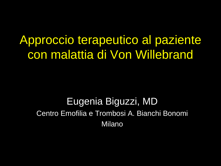Approccio terapeutico al paziente con malattia di Von Willebrand

Eugenia Biguzzi, MD Centro Emofilia e Trombosi A. Bianchi Bonomi Milano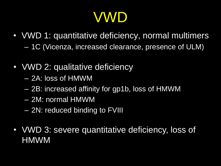# VWD

- VWD 1: quantitative deficiency, normal multimers – 1C (Vicenza, increased clearance, presence of ULM)
- VWD 2: qualitative deficiency
	- 2A: loss of HMWM
	- 2B: increased affinity for gp1b, loss of HMWM
	- 2M: normal HMWM
	- 2N: reduced binding to FVIII
- VWD 3: severe quantitative deficiency, loss of HMWM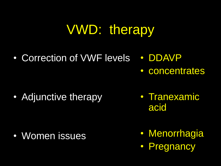# VWD: therapy

• Correction of VWF levels • DDAVP

• Adjunctive therapy

• Women issues

• Tranexamic acid

• concentrates

- Menorrhagia
- Pregnancy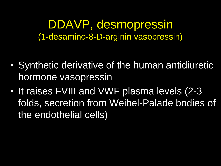DDAVP, desmopressin (1-desamino-8-D-arginin vasopressin)

- Synthetic derivative of the human antidiuretic hormone vasopressin
- It raises FVIII and VWF plasma levels (2-3 folds, secretion from Weibel-Palade bodies of the endothelial cells)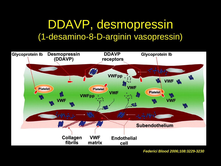### DDAVP, desmopressin (1-desamino-8-D-arginin vasopressin)



*Federici Blood 2006;108:3229-3230*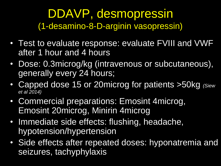### DDAVP, desmopressin (1-desamino-8-D-arginin vasopressin)

- Test to evaluate response: evaluate FVIII and VWF after 1 hour and 4 hours
- Dose: 0.3microg/kg (intravenous or subcutaneous), generally every 24 hours;
- Capped dose 15 or 20microg for patients >50kg *(Siew et al 2014)*
- Commercial preparations: Emosint 4microg, Emosint 20microg, Minirin 4microg
- Immediate side effects: flushing, headache, hypotension/hypertension
- Side effects after repeated doses: hyponatremia and seizures, tachyphylaxis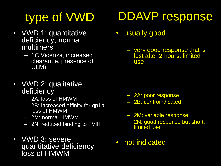# type of VWD

- VWD 1: quantitative deficiency, normal multimers
	- 1C Vicenza, increased clearance, presence of ULM)
- VWD 2: qualitative deficiency
	- 2A: loss of HMWM
	- 2B: increased affinity for gp1b, loss of HMWM
	- 2M: normal HMWM
	- 2N: reduced binding to FVIII
- VWD 3: severe quantitative deficiency, loss of HMWM

# DDAVP response

- usually good
	- very good response that is lost after 2 hours, limited use

- 2A: poor response
- 2B: controindicated
- 2M: variable response
- 2N: good response but short, limited use
- not indicated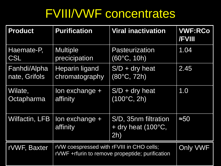# FVIII/VWF concentrates

| <b>Product</b>        | <b>Purification</b>                                                                          | <b>Viral inactivation</b>                                  | <b>VWF:RCo</b><br><b>/FVIII</b> |
|-----------------------|----------------------------------------------------------------------------------------------|------------------------------------------------------------|---------------------------------|
| Haemate-P,            | <b>Multiple</b>                                                                              | Pasteurization                                             | 1.04                            |
| <b>CSL</b>            | precicipation                                                                                | $(60^{\circ}C, 10h)$                                       |                                 |
| Fanhdi/Alpha          | <b>Heparin ligand</b>                                                                        | $S/D + dry$ heat                                           | 2.45                            |
| nate, Grifols         | chromatography                                                                               | $(80^{\circ}C, 72h)$                                       |                                 |
| Wilate,               | lon exchange +                                                                               | $S/D + dry heat$                                           | 1.0                             |
| Octapharma            | affinity                                                                                     | $(100^{\circ}C, 2h)$                                       |                                 |
| <b>Wilfactin, LFB</b> | lon exchange +<br>affinity                                                                   | S/D, 35nm filtration<br>+ dry heat $(100\degree C,$<br>2h) | $\approx 50$                    |
| rVWF, Baxter          | rVW coespressed with rFVIII in CHO cells;<br>rVWF +rfurin to remove propeptide; purification | Only VWF                                                   |                                 |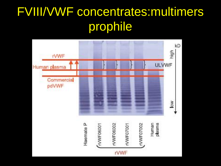# FVIII/VWF concentrates:multimers prophile

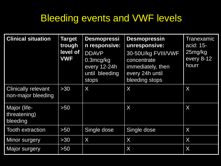### Bleeding events and VWF levels

| <b>Clinical situation</b>                        | <b>Target</b><br>trough<br>level of<br><b>VWF</b> | <b>Desmopressi</b><br>n responsive:<br><b>DDAVP</b><br>$0.3$ mcg/kg<br>every 12-24h<br>until bleeding<br>stops | <b>Desmopressin</b><br>unresponsive:<br>30-50U/kg FVIII/VWF<br>concentrate<br>immediately, then<br>every 24h until<br>bleeding stops | <b>Tranexamic</b><br>acid: 15-<br>25mg/kg<br>every 8-12<br>hourr |
|--------------------------------------------------|---------------------------------------------------|----------------------------------------------------------------------------------------------------------------|--------------------------------------------------------------------------------------------------------------------------------------|------------------------------------------------------------------|
| <b>Clinically relevant</b><br>non-major bleeding | $>30$                                             | X                                                                                                              | X                                                                                                                                    | X                                                                |
| Major (life-<br>threatening)<br>bleeding         | >50                                               |                                                                                                                | X                                                                                                                                    | X                                                                |
| <b>Tooth extraction</b>                          | >50                                               | Single dose                                                                                                    | Single dose                                                                                                                          | X                                                                |
| <b>Minor surgery</b>                             | $>30$                                             | $\chi$                                                                                                         | X                                                                                                                                    | X                                                                |
| Major surgery                                    | $>50$                                             |                                                                                                                | X                                                                                                                                    | X                                                                |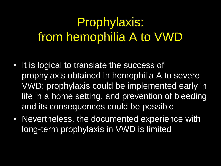# Prophylaxis: from hemophilia A to VWD

- It is logical to translate the success of prophylaxis obtained in hemophilia A to severe VWD: prophylaxis could be implemented early in life in a home setting, and prevention of bleeding and its consequences could be possible
- Nevertheless, the documented experience with long-term prophylaxis in VWD is limited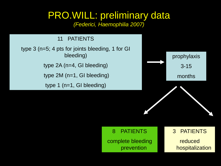### PRO.WILL: preliminary data

*(Federici, Haemophilia 2007)*

#### 11 PATIENTS

type 3 (n=5; 4 pts for joints bleeding, 1 for GI bleeding) type 2A (n=4, GI bleeding)

type 2M (n=1, GI bleeding)

type 1 (n=1, GI bleeding)



#### 8 PATIENTS

complete bleeding prevention

#### 3 PATIENTS

reduced hospitalization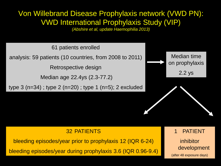### Von Willebrand Disease Prophylaxis network (VWD PN): VWD International Prophylaxis Study (VIP)

*(Abshire et al, update Haemophilia 2013)*

61 patients enrolled

analysis: 59 patients (10 countries, from 2008 to 2011)

Retrospective design

Median age 22.4ys (2.3-77.2)

type 3 (n=34) ; type 2 (n=20) ; type 1 (n=5); 2 excluded



#### 32 PATIENTS

bleeding episodes/year prior to prophylaxis 12 (IQR 6-24)

bleeding episodes/year during prophylaxis 3.6 (IQR 0.96-9.4)

**PATIENT** 

inhibitor development

(after 48 exposure days)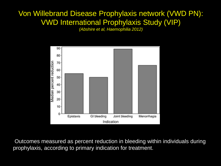### Von Willebrand Disease Prophylaxis network (VWD PN): VWD International Prophylaxis Study (VIP)

*(Abshire et al, Haemophilia 2012)*



Outcomes measured as percent reduction in bleeding within individuals during prophylaxis, according to primary indication for treatment.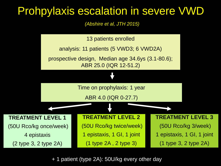### Prohpylaxis escalation in severe VWD

*(Abshire et al, JTH 2015)*

13 patients enrolled

analysis: 11 patients (5 VWD3; 6 VWD2A)

prospective design, Median age 34.6ys (3.1-80.6); ABR 25.0 (IQR 12-51.2)

Time on prophylaxis: 1 year

ABR 4.0 (IQR 0-27.7)

**TREATMENT LEVEL 1**

(50U Rco/kg once/week)

4 epistaxis

(2 type 3, 2 type 2A)

#### **TREATMENT LEVEL 2**

(50U Rco/kg twice/week) 1 epistaxis, 1 GI, 1 joint

(1 type 2A , 2 type 3)

**TREATMENT LEVEL 3** (50U Rco/kg 3/week) 1 epistaxis, 1 GI, 1 joint (1 type 3, 2 type 2A)

+ 1 patient (type 2A): 50U/kg every other day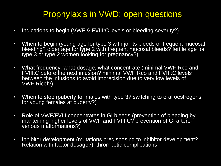### Prophylaxis in VWD: open questions

- Indications to begin (VWF & FVIII: C levels or bleeding severity?)
- When to begin (young age for type 3 with joints bleeds or frequent mucosal bleeding? older age for type 2 with frequent mucosal bleeds? fertile age for type 3 or type 2 women looking for pregnancy?)
- What frequency, what dosage, what concentrate (minimal VWF:Rco and FVIII: C before the next infusion? minimal VWF: Rco and FVIII: C levels between the infusions to avoid imprecision due to very low levels of VWF:Ricof?)
- When to stop (puberty for males with type 3? switching to oral oestrogens for young females at puberty?)
- Role of VWF/FVIII concentrates in GI bleeds (prevention of bleeding by manteining higher levels of VWF and FVIII:C? prevention of GI arterovenous malformations?)
- Inhibitor development (mutations predisposing to inhibitor development? Relation with factor dosage?); thrombotic complications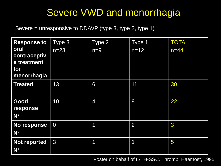### Severe VWD and menorrhagia

Severe = unresponsive to DDAVP (type 3, type 2, type 1)

| <b>Response to</b>                                        | Type 3         | Type 2          | Type 1      | <b>TOTAL</b> |
|-----------------------------------------------------------|----------------|-----------------|-------------|--------------|
| oral<br>contraceptiv<br>e treatment<br>for<br>menorrhagia | $n=23$         | $n=9$           | $n = 12$    | $n=44$       |
| <b>Treated</b>                                            | 13             | $6\overline{6}$ | 11          | 30           |
| Good<br>response<br>$N^{\circ}$                           | 10             | $\overline{4}$  | 8           | 22           |
| No response<br>$N^{\circ}$                                | $\overline{0}$ | 1               | 2           | $\mathbf{3}$ |
| <b>Not reported</b><br>$N^{\circ}$                        | 3              | 1               | $\mathbf 1$ | 5            |

Foster on behalf of ISTH-SSC. Thromb Haemost, 1995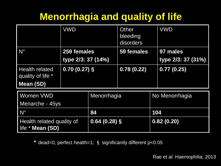### **Menorrhagia and quality of life**

|                                               | <b>VWD</b>         |                | Other<br>bleeding<br>disorders |                | <b>VWD</b>         |
|-----------------------------------------------|--------------------|----------------|--------------------------------|----------------|--------------------|
| $N^{\circ}$                                   | 259 females        |                | 59 females                     |                | 97 males           |
|                                               | type 2/3: 37 (14%) |                |                                |                | type 2/3: 37 (31%) |
| <b>Health related</b><br>quality of life *    | $0.70(0.27)$ §     |                | 0.78(0.22)                     |                | 0.77(0.25)         |
| Mean (SD)                                     |                    |                |                                |                |                    |
| Women VWD                                     |                    | Menorrhagia    |                                | No Menorrhagia |                    |
| Menarche - 45ys<br>$N^{\circ}$                |                    | 84             |                                | 104            |                    |
| Health related quality of<br>life * Mean (SD) |                    | $0.64(0.28)$ § |                                |                | 0.82(0.20)         |

**\*** dead=0, perfect health=1; § significantly different p<0.05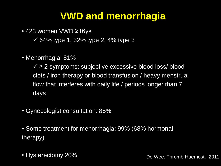### **VWD and menorrhagia**

• 423 women VWD ≥16ys

- $\checkmark$  64% type 1, 32% type 2, 4% type 3
- Menorrhagia: 81%

 $\checkmark$   $\geq$  2 symptoms: subjective excessive blood loss/ blood clots / iron therapy or blood transfusion / heavy menstrual flow that interferes with daily life / periods longer than 7 days

- Gynecologist consultation: 85%
- Some treatment for menorrhagia: 99% (68% hormonal therapy)
- Hysterectomy 20%  $\blacksquare$  De Wee. Thromb Haemost, 2011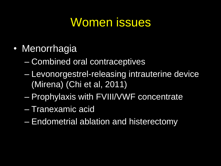# Women issues

- Menorrhagia
	- Combined oral contraceptives
	- Levonorgestrel-releasing intrauterine device (Mirena) (Chi et al, 2011)
	- Prophylaxis with FVIII/VWF concentrate
	- Tranexamic acid
	- Endometrial ablation and histerectomy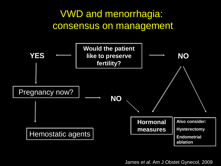

James *et al*. Am J Obstet Gynecol, 2009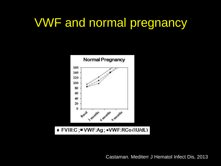## VWF and normal pregnancy

![](_page_21_Figure_1.jpeg)

Castaman. Mediterr J Hematol Infect Dis, 2013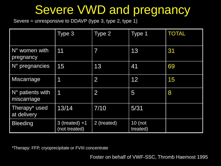# Severe VWD and pregnancy

Severe = unresponsive to DDAVP (type 3, type 2, type 1)

|                                   | Type 3                            | Type 2         | Type 1                | <b>TOTAL</b> |
|-----------------------------------|-----------------------------------|----------------|-----------------------|--------------|
| N° women with<br>pregnancy        | 11                                | 7              | 13                    | 31           |
| N° pregnancies                    | 15                                | 13             | 41                    | 69           |
| <b>Miscarriage</b>                | 1                                 | $\overline{2}$ | 12                    | 15           |
| $N°$ patients with<br>miscarriage | 1                                 | $\overline{2}$ | 5                     | 8            |
| Therapy* used<br>at delivery      | 13/14                             | 7/10           | 5/31                  |              |
| <b>Bleeding</b>                   | $3$ (treated) +1<br>(not treated) | 2 (treated)    | $10$ (not<br>treated) |              |

*\**Therapy: FFP, cryoprecipitate or FVIII concentrate

Foster on behalf of VWF-SSC, Thromb Haemost 1995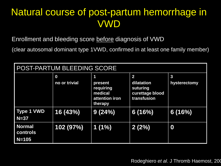### Natural course of post-partum hemorrhage in VWD

Enrollment and bleeding score before diagnosis of VWD

(clear autosomal dominant type 1VWD, confirmed in at least one family member)

| POST-PARTUM BLEEDING SCORE             |                                   |                                                                   |                                                                                     |                              |  |
|----------------------------------------|-----------------------------------|-------------------------------------------------------------------|-------------------------------------------------------------------------------------|------------------------------|--|
|                                        | $\boldsymbol{0}$<br>no or trivial | 1<br>present<br>requiring<br>medical<br>attention iron<br>therapy | $\overline{\mathbf{2}}$<br>dilatation<br>suturing<br>curettage blood<br>transfusion | $\mathbf{3}$<br>hysterectomy |  |
| <b>Type 1 VWD</b><br>$N=37$            | 16 (43%)                          | 9(24%)                                                            | 6(16%)                                                                              | 6(16%)                       |  |
| <b>Normal</b><br>controls<br>$N = 105$ | 102 (97%)                         | 1(1%)                                                             | 2(2%)                                                                               | 0                            |  |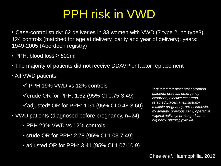# PPH risk in VWD

• Case-control study: 62 deliveries in 33 women with VWD (7 type 2, no type3), 124 controls (matched for age at delivery, parity and year of delivery); years: 1949-2005 (Aberdeen registry)

- PPH: blood loss ≥ 500ml
- The majority of patients did not receive DDAVP or factor replacement
- All VWD patients

 $\checkmark$  PPH 19% VWD vs 12% controls

 $\checkmark$  crude OR for PPH: 1.62 (95% CI 0.75-3.49)

 $\checkmark$  adjusted\* OR for PPH: 1.31 (95% CI 0.48-3.60)

- VWD patients (diagnosed before pregnancy, n=24)
	- PPH 29% VWD vs 12% controls
	- crude OR for PPH: 2.78 (95% CI 1.03-7.49)
	- adjusted OR for PPH: 3.41 (95% CI 1.07-10.9)

*\*adjusted for: placental abruption, placenta praevia, emergency cesarean, elective cesarean, retained placenta, episiotomy, multiple pregnancy, pre-eclampsia, multiparity, previous PPH, operative vaginal delivery, prolonged labour, big baby, obesity, pyrexia*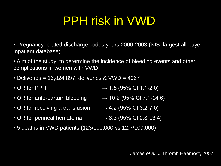# PPH risk in VWD

• Pregnancy-related discharge codes years 2000-2003 (NIS: largest all-payer inpatient database)

• Aim of the study: to determine the incidence of bleeding events and other complications in women with VWD

- Deliveries = 16,824,897; deliveries & VWD = 4067
- OR for PPH  $\rightarrow$  1.5 (95% CI 1.1-2.0)
- OR for ante-partum bleeding  $\longrightarrow$  10.2 (95% CI 7.1-14.6)
- OR for receiving a transfusion  $\rightarrow$  4.2 (95% CI 3.2-7.0)
- OR for perineal hematoma  $\longrightarrow$  3.3 (95% CI 0.8-13.4)

• 5 deaths in VWD patients (123/100,000 vs 12.7/100,000)

James *et al*. J Thromb Haemost, 2007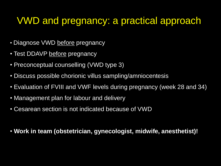### VWD and pregnancy: a practical approach

- Diagnose VWD before pregnancy
- Test DDAVP before pregnancy
- Preconceptual counselling (VWD type 3)
- Discuss possible chorionic villus sampling/amniocentesis
- Evaluation of FVIII and VWF levels during pregnancy (week 28 and 34)
- Management plan for labour and delivery
- Cesarean section is not indicated because of VWD
- **Work in team (obstetrician, gynecologist, midwife, anesthetist)!**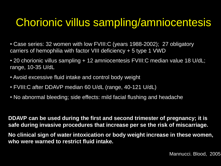### Chorionic villus sampling/amniocentesis

- Case series: 32 women with low FVIII:C (years 1988-2002); 27 obligatory carriers of hemophilia with factor VIII deficiency + 5 type 1 VWD
- 20 chorionic villus sampling + 12 amniocentesis FVIII:C median value 18 U/dL; range, 10-35 U/dL
- Avoid excessive fluid intake and control body weight
- FVIII:C after DDAVP median 60 U/dL (range, 40-121 U/dL)
- No abnormal bleeding; side effects: mild facial flushing and headache

**DDAVP can be used during the first and second trimester of pregnancy; it is safe during invasive procedures that increase per se the risk of miscarriage.** 

**No clinical sign of water intoxication or body weight increase in these women, who were warned to restrict fluid intake.**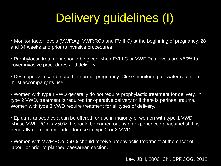# Delivery guidelines (I)

• Monitor factor levels (VWF:Ag, VWF:RCo and FVIII:C) at the beginning of pregnancy, 28 and 34 weeks and prior to invasive procedures

• Prophylactic treatment should be given when FVIII:C or VWF:Rco levels are <50% to cover invasive procedures and delivery

• Desmopressin can be used in normal pregnancy. Close monitoring for water retention must accompany its use

• Women with type I VWD generally do not require prophylactic treatment for delivery. In type 2 VWD, treatment is required for operative delivery or if there is perineal trauma. Women with type 3 VWD require treatment for all types of delivery.

• Epidural anaesthesia can be offered for use in majority of women with type 1 VWD whose VWF:RCo is >50%. It should be carried out by an experienced anaesthetist. It is generally not recommended for use in type 2 or 3 VWD.

• Women with VWF:RCo <50% should receive prophylactic treatment at the onset of labour or prior to planned caesarean section.

Lee. JBH, 2006; Chi. BPRCOG, 2012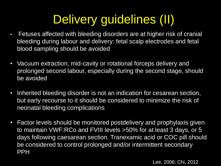# Delivery guidelines (II)

- Fetuses affected with bleeding disorders are at higher risk of cranial bleeding during labour and delivery: fetal scalp electrodes and fetal blood sampling should be avoided
- Vacuum extraction, mid-cavity or rotational forceps delivery and prolonged second labour, especially during the second stage, should be avoided
- Inherited bleeding disorder is not an indication for cesarean section, but early recourse to it should be considered to minimize the risk of neonatal bleeding complications
- Factor levels should be monitored postdelivery and prophylaxis given to maintain VWF:RCo and FVIII levels >50% for at least 3 days, or 5 days following caesarean section. Tranexamic acid or COC pill should be considered to control prolonged and/or intermittent secondary PPH

Lee, 2006; Chi, 2012